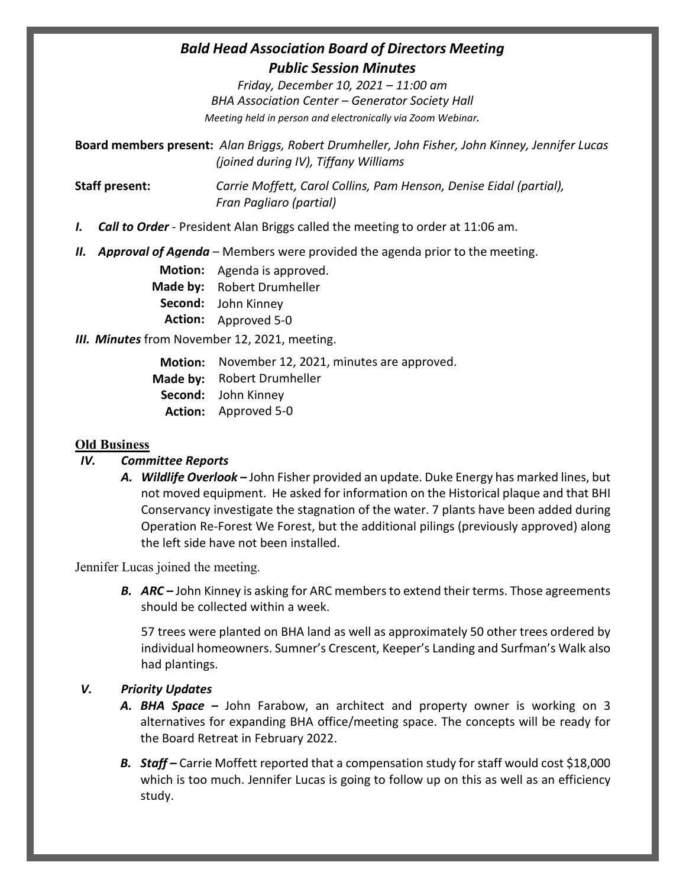# *Bald Head Association Board of Directors Meeting Public Session Minutes*

*Friday, December 10, 2021 – 11:00 am BHA Association Center – Generator Society Hall Meeting held in person and electronically via Zoom Webinar.*

**Board members present:** *Alan Briggs, Robert Drumheller, John Fisher, John Kinney, Jennifer Lucas (joined during IV), Tiffany Williams*

**Staff present:** *Carrie Moffett, Carol Collins, Pam Henson, Denise Eidal (partial), Fran Pagliaro (partial)*

- *I. Call to Order* President Alan Briggs called the meeting to order at 11:06 am.
- *II. Approval of Agenda* Members were provided the agenda prior to the meeting.

**Motion:** Agenda is approved. **Made by:** Robert Drumheller **Second:**  John Kinney **Action:** Approved 5-0

## *III. Minutes* from November 12, 2021, meeting.

Motion: November 12, 2021, minutes are approved. **Made by:** Robert Drumheller **Second:**  John Kinney **Action:** Approved 5-0

## **Old Business**

## *IV. Committee Reports*

*A. Wildlife Overlook –* John Fisher provided an update. Duke Energy has marked lines, but not moved equipment. He asked for information on the Historical plaque and that BHI Conservancy investigate the stagnation of the water. 7 plants have been added during Operation Re-Forest We Forest, but the additional pilings (previously approved) along the left side have not been installed.

Jennifer Lucas joined the meeting.

*B. ARC –* John Kinney is asking for ARC members to extend their terms. Those agreements should be collected within a week.

57 trees were planted on BHA land as well as approximately 50 other trees ordered by individual homeowners. Sumner's Crescent, Keeper's Landing and Surfman's Walk also had plantings.

## *V. Priority Updates*

- *A. BHA Space –* John Farabow, an architect and property owner is working on 3 alternatives for expanding BHA office/meeting space. The concepts will be ready for the Board Retreat in February 2022.
- *B. Staff –* Carrie Moffett reported that a compensation study for staff would cost \$18,000 which is too much. Jennifer Lucas is going to follow up on this as well as an efficiency study.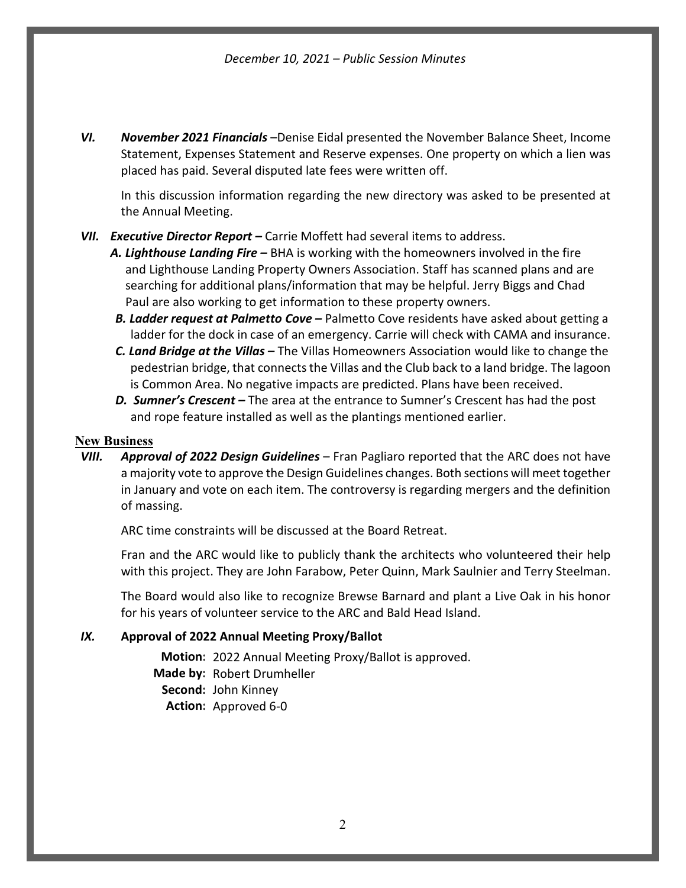*VI. November 2021 Financials* –Denise Eidal presented the November Balance Sheet, Income Statement, Expenses Statement and Reserve expenses. One property on which a lien was placed has paid. Several disputed late fees were written off.

In this discussion information regarding the new directory was asked to be presented at the Annual Meeting.

### *VII. Executive Director Report –* Carrie Moffett had several items to address.

- *A. Lighthouse Landing Fire –* BHA is working with the homeowners involved in the fire and Lighthouse Landing Property Owners Association. Staff has scanned plans and are searching for additional plans/information that may be helpful. Jerry Biggs and Chad Paul are also working to get information to these property owners.
- *B. Ladder request at Palmetto Cove –* Palmetto Cove residents have asked about getting a ladder for the dock in case of an emergency. Carrie will check with CAMA and insurance.
- *C. Land Bridge at the Villas –* The Villas Homeowners Association would like to change the pedestrian bridge, that connects the Villas and the Club back to a land bridge. The lagoon is Common Area. No negative impacts are predicted. Plans have been received.
- *D. Sumner's Crescent –* The area at the entrance to Sumner's Crescent has had the post and rope feature installed as well as the plantings mentioned earlier.

### **New Business**

*VIII. Approval of 2022 Design Guidelines* – Fran Pagliaro reported that the ARC does not have a majority vote to approve the Design Guidelines changes. Both sections will meet together in January and vote on each item. The controversy is regarding mergers and the definition of massing.

ARC time constraints will be discussed at the Board Retreat.

Fran and the ARC would like to publicly thank the architects who volunteered their help with this project. They are John Farabow, Peter Quinn, Mark Saulnier and Terry Steelman.

The Board would also like to recognize Brewse Barnard and plant a Live Oak in his honor for his years of volunteer service to the ARC and Bald Head Island.

### *IX.* **Approval of 2022 Annual Meeting Proxy/Ballot**

**Motion:** 2022 Annual Meeting Proxy/Ballot is approved. **Made by:** Robert Drumheller **Second:**  John Kinney **Action:** Approved 6-0